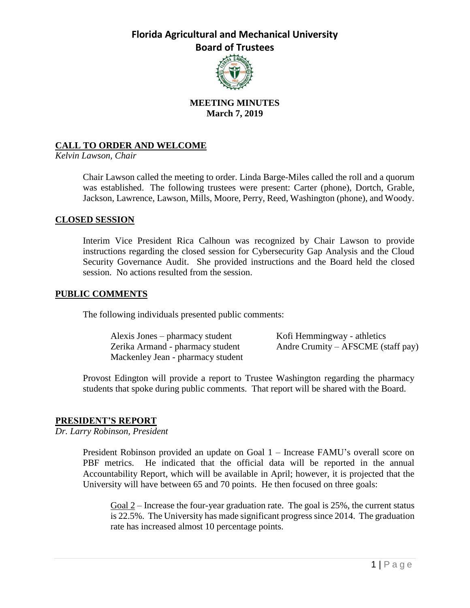

## **MEETING MINUTES March 7, 2019**

## **CALL TO ORDER AND WELCOME**

*Kelvin Lawson, Chair*

Chair Lawson called the meeting to order. Linda Barge-Miles called the roll and a quorum was established. The following trustees were present: Carter (phone), Dortch, Grable, Jackson, Lawrence, Lawson, Mills, Moore, Perry, Reed, Washington (phone), and Woody.

### **CLOSED SESSION**

Interim Vice President Rica Calhoun was recognized by Chair Lawson to provide instructions regarding the closed session for Cybersecurity Gap Analysis and the Cloud Security Governance Audit. She provided instructions and the Board held the closed session. No actions resulted from the session.

### **PUBLIC COMMENTS**

The following individuals presented public comments:

Alexis Jones – pharmacy student Kofi Hemmingway - athletics Mackenley Jean - pharmacy student

Zerika Armand - pharmacy student Andre Crumity – AFSCME (staff pay)

Provost Edington will provide a report to Trustee Washington regarding the pharmacy students that spoke during public comments. That report will be shared with the Board.

## **PRESIDENT'S REPORT**

*Dr. Larry Robinson, President*

President Robinson provided an update on Goal 1 – Increase FAMU's overall score on PBF metrics. He indicated that the official data will be reported in the annual Accountability Report, which will be available in April; however, it is projected that the University will have between 65 and 70 points. He then focused on three goals:

Goal 2 – Increase the four-year graduation rate. The goal is 25%, the current status is 22.5%. The University has made significant progress since 2014. The graduation rate has increased almost 10 percentage points.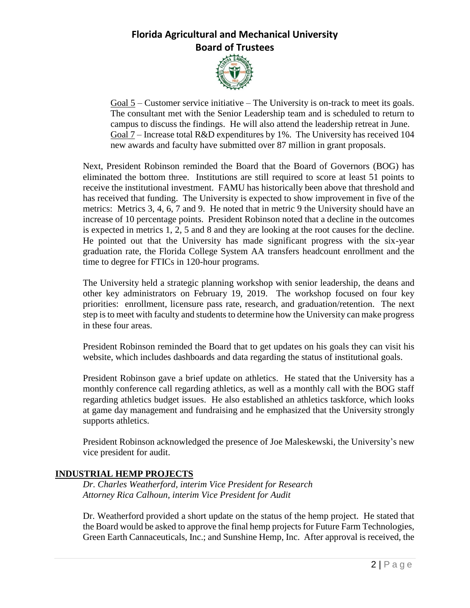

Goal 5 – Customer service initiative – The University is on-track to meet its goals. The consultant met with the Senior Leadership team and is scheduled to return to campus to discuss the findings. He will also attend the leadership retreat in June. Goal  $7$  – Increase total R&D expenditures by 1%. The University has received 104 new awards and faculty have submitted over 87 million in grant proposals.

Next, President Robinson reminded the Board that the Board of Governors (BOG) has eliminated the bottom three. Institutions are still required to score at least 51 points to receive the institutional investment. FAMU has historically been above that threshold and has received that funding. The University is expected to show improvement in five of the metrics: Metrics 3, 4, 6, 7 and 9. He noted that in metric 9 the University should have an increase of 10 percentage points. President Robinson noted that a decline in the outcomes is expected in metrics 1, 2, 5 and 8 and they are looking at the root causes for the decline. He pointed out that the University has made significant progress with the six-year graduation rate, the Florida College System AA transfers headcount enrollment and the time to degree for FTICs in 120-hour programs.

The University held a strategic planning workshop with senior leadership, the deans and other key administrators on February 19, 2019. The workshop focused on four key priorities: enrollment, licensure pass rate, research, and graduation/retention. The next step is to meet with faculty and students to determine how the University can make progress in these four areas.

President Robinson reminded the Board that to get updates on his goals they can visit his website, which includes dashboards and data regarding the status of institutional goals.

President Robinson gave a brief update on athletics. He stated that the University has a monthly conference call regarding athletics, as well as a monthly call with the BOG staff regarding athletics budget issues. He also established an athletics taskforce, which looks at game day management and fundraising and he emphasized that the University strongly supports athletics.

President Robinson acknowledged the presence of Joe Maleskewski, the University's new vice president for audit.

## **INDUSTRIAL HEMP PROJECTS**

*Dr. Charles Weatherford, interim Vice President for Research Attorney Rica Calhoun, interim Vice President for Audit*

Dr. Weatherford provided a short update on the status of the hemp project. He stated that the Board would be asked to approve the final hemp projects for Future Farm Technologies, Green Earth Cannaceuticals, Inc.; and Sunshine Hemp, Inc. After approval is received, the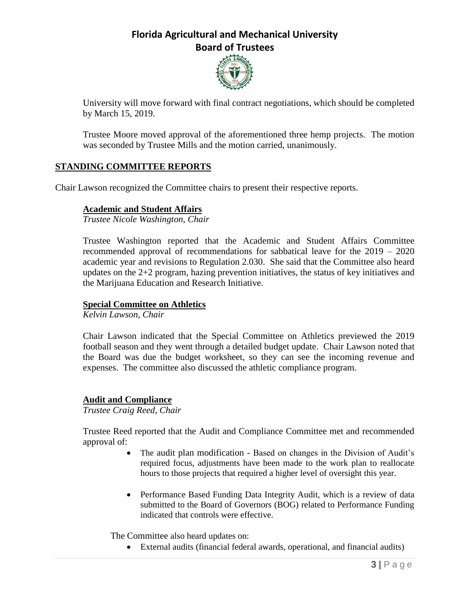

University will move forward with final contract negotiations, which should be completed by March 15, 2019.

Trustee Moore moved approval of the aforementioned three hemp projects. The motion was seconded by Trustee Mills and the motion carried, unanimously.

## **STANDING COMMITTEE REPORTS**

Chair Lawson recognized the Committee chairs to present their respective reports.

### **Academic and Student Affairs**

*Trustee Nicole Washington, Chair*

Trustee Washington reported that the Academic and Student Affairs Committee recommended approval of recommendations for sabbatical leave for the 2019 – 2020 academic year and revisions to Regulation 2.030. She said that the Committee also heard updates on the 2+2 program, hazing prevention initiatives, the status of key initiatives and the Marijuana Education and Research Initiative.

#### **Special Committee on Athletics**

*Kelvin Lawson, Chair*

Chair Lawson indicated that the Special Committee on Athletics previewed the 2019 football season and they went through a detailed budget update. Chair Lawson noted that the Board was due the budget worksheet, so they can see the incoming revenue and expenses. The committee also discussed the athletic compliance program.

#### **Audit and Compliance**

*Trustee Craig Reed, Chair*

Trustee Reed reported that the Audit and Compliance Committee met and recommended approval of:

- The audit plan modification Based on changes in the Division of Audit's required focus, adjustments have been made to the work plan to reallocate hours to those projects that required a higher level of oversight this year.
- Performance Based Funding Data Integrity Audit, which is a review of data submitted to the Board of Governors (BOG) related to Performance Funding indicated that controls were effective.

The Committee also heard updates on:

External audits (financial federal awards, operational, and financial audits)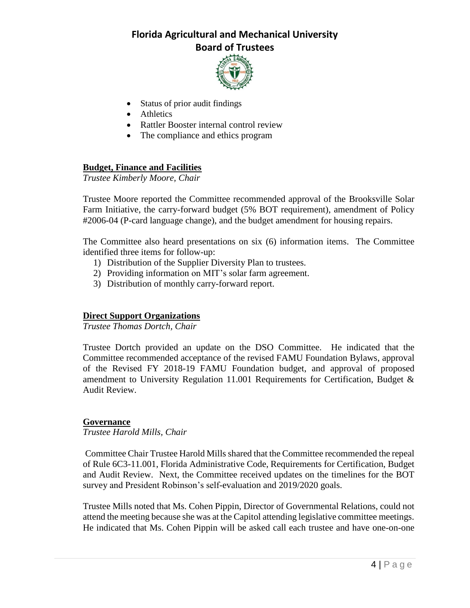

- Status of prior audit findings
- Athletics
- Rattler Booster internal control review
- The compliance and ethics program

## **Budget, Finance and Facilities**

*Trustee Kimberly Moore, Chair*

Trustee Moore reported the Committee recommended approval of the Brooksville Solar Farm Initiative, the carry-forward budget (5% BOT requirement), amendment of Policy #2006-04 (P-card language change), and the budget amendment for housing repairs.

The Committee also heard presentations on six (6) information items. The Committee identified three items for follow-up:

- 1) Distribution of the Supplier Diversity Plan to trustees.
- 2) Providing information on MIT's solar farm agreement.
- 3) Distribution of monthly carry-forward report.

## **Direct Support Organizations**

*Trustee Thomas Dortch, Chair*

Trustee Dortch provided an update on the DSO Committee. He indicated that the Committee recommended acceptance of the revised FAMU Foundation Bylaws, approval of the Revised FY 2018-19 FAMU Foundation budget, and approval of proposed amendment to University Regulation 11.001 Requirements for Certification, Budget & Audit Review.

### **Governance**

*Trustee Harold Mills, Chair*

Committee Chair Trustee Harold Mills shared that the Committee recommended the repeal of Rule 6C3-11.001, Florida Administrative Code, Requirements for Certification, Budget and Audit Review. Next, the Committee received updates on the timelines for the BOT survey and President Robinson's self-evaluation and 2019/2020 goals.

Trustee Mills noted that Ms. Cohen Pippin, Director of Governmental Relations, could not attend the meeting because she was at the Capitol attending legislative committee meetings. He indicated that Ms. Cohen Pippin will be asked call each trustee and have one-on-one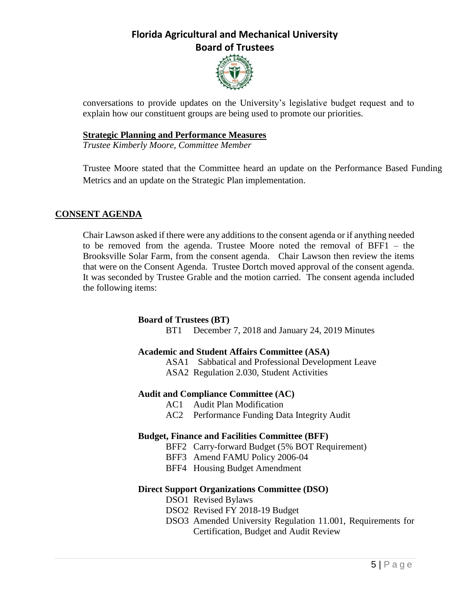

conversations to provide updates on the University's legislative budget request and to explain how our constituent groups are being used to promote our priorities.

### **Strategic Planning and Performance Measures**

*Trustee Kimberly Moore, Committee Member*

Trustee Moore stated that the Committee heard an update on the Performance Based Funding Metrics and an update on the Strategic Plan implementation.

### **CONSENT AGENDA**

Chair Lawson asked if there were any additions to the consent agenda or if anything needed to be removed from the agenda. Trustee Moore noted the removal of BFF1 – the Brooksville Solar Farm, from the consent agenda. Chair Lawson then review the items that were on the Consent Agenda. Trustee Dortch moved approval of the consent agenda. It was seconded by Trustee Grable and the motion carried. The consent agenda included the following items:

### **Board of Trustees (BT)**

BT1 December 7, 2018 and January 24, 2019 Minutes

### **Academic and Student Affairs Committee (ASA)**

ASA1 Sabbatical and Professional Development Leave ASA2 Regulation 2.030, Student Activities

### **Audit and Compliance Committee (AC)**

- AC1 Audit Plan Modification
- AC2 Performance Funding Data Integrity Audit

### **Budget, Finance and Facilities Committee (BFF)**

- BFF2 Carry-forward Budget (5% BOT Requirement)
- BFF3 Amend FAMU Policy 2006-04
- BFF4 Housing Budget Amendment

### **Direct Support Organizations Committee (DSO)**

- DSO1 Revised Bylaws
- DSO2 Revised FY 2018-19 Budget
- DSO3 Amended University Regulation 11.001, Requirements for Certification, Budget and Audit Review